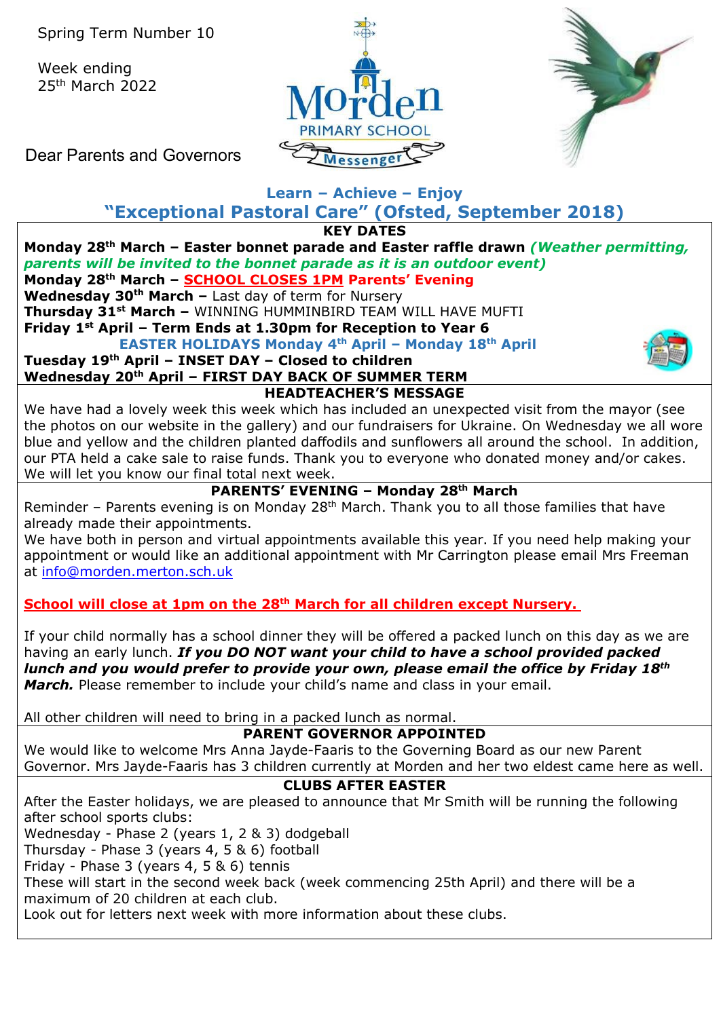Week ending 25th March 2022





Dear Parents and Governors

#### **Learn – Achieve – Enjoy "Exceptional Pastoral Care" (Ofsted, September 2018)**

**KEY DATES**

**Monday 28th March – Easter bonnet parade and Easter raffle drawn** *(Weather permitting, parents will be invited to the bonnet parade as it is an outdoor event)* **Monday 28th March – SCHOOL CLOSES 1PM Parents' Evening Wednesday 30th March –** Last day of term for Nursery **Thursday 31st March –** WINNING HUMMINBIRD TEAM WILL HAVE MUFTI **Friday 1st April – Term Ends at 1.30pm for Reception to Year 6 EASTER HOLIDAYS Monday 4th April – Monday 18th April**

**Tuesday 19th April – INSET DAY – Closed to children Wednesday 20th April – FIRST DAY BACK OF SUMMER TERM HEADTEACHER'S MESSAGE** 



We have had a lovely week this week which has included an unexpected visit from the mayor (see the photos on our website in the gallery) and our fundraisers for Ukraine. On Wednesday we all wore blue and yellow and the children planted daffodils and sunflowers all around the school. In addition, our PTA held a cake sale to raise funds. Thank you to everyone who donated money and/or cakes. We will let you know our final total next week.

## **PARENTS' EVENING – Monday 28th March**

Reminder – Parents evening is on Monday 28<sup>th</sup> March. Thank you to all those families that have already made their appointments.

We have both in person and virtual appointments available this year. If you need help making your appointment or would like an additional appointment with Mr Carrington please email Mrs Freeman at [info@morden.merton.sch.uk](mailto:info@morden.merton.sch.uk)

## **School will close at 1pm on the 28th March for all children except Nursery.**

If your child normally has a school dinner they will be offered a packed lunch on this day as we are having an early lunch. *If you DO NOT want your child to have a school provided packed lunch and you would prefer to provide your own, please email the office by Friday 18th March.* Please remember to include your child's name and class in your email.

All other children will need to bring in a packed lunch as normal.

### **PARENT GOVERNOR APPOINTED**

We would like to welcome Mrs Anna Jayde-Faaris to the Governing Board as our new Parent Governor. Mrs Jayde-Faaris has 3 children currently at Morden and her two eldest came here as well.

### **CLUBS AFTER EASTER**

After the Easter holidays, we are pleased to announce that Mr Smith will be running the following after school sports clubs:

Wednesday - Phase 2 (years 1, 2 & 3) dodgeball

Thursday - Phase 3 (years 4, 5 & 6) football

Friday - Phase 3 (years 4, 5 & 6) tennis

These will start in the second week back (week commencing 25th April) and there will be a maximum of 20 children at each club.

Look out for letters next week with more information about these clubs.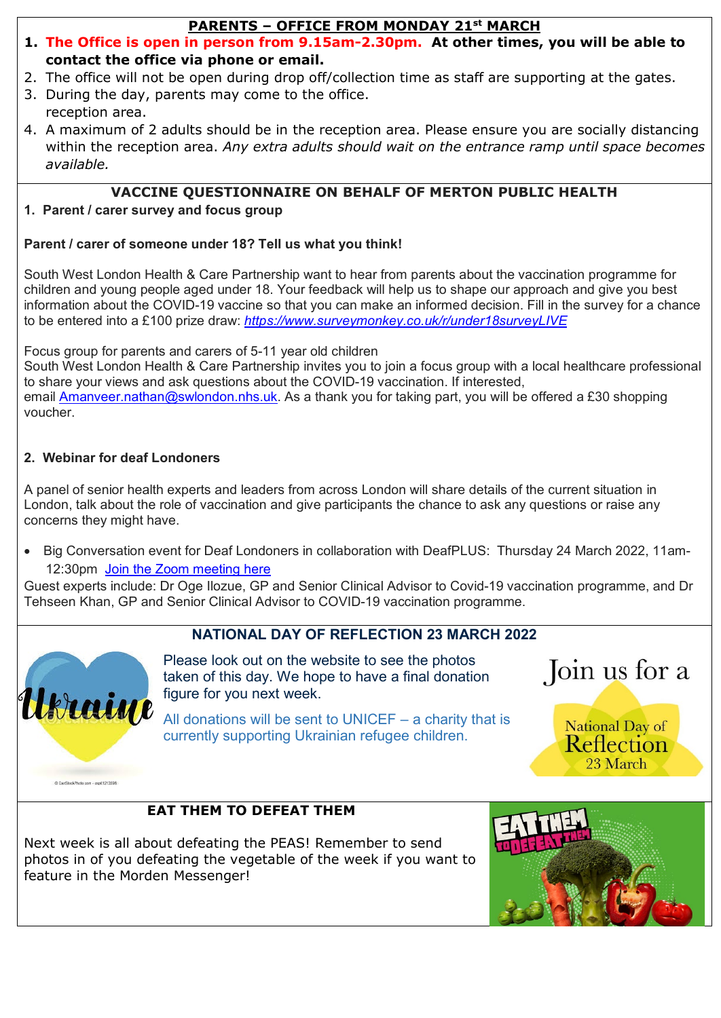### **PARENTS – OFFICE FROM MONDAY 21st MARCH**

- **1. The Office is open in person from 9.15am-2.30pm. At other times, you will be able to contact the office via phone or email.**
- 2. The office will not be open during drop off/collection time as staff are supporting at the gates.
- 3. During the day, parents may come to the office. reception area.
- 4. A maximum of 2 adults should be in the reception area. Please ensure you are socially distancing within the reception area. *Any extra adults should wait on the entrance ramp until space becomes available.*

# **VACCINE QUESTIONNAIRE ON BEHALF OF MERTON PUBLIC HEALTH**

## **1. Parent / carer survey and focus group**

## **Parent / carer of someone under 18? Tell us what you think!**

South West London Health & Care Partnership want to hear from parents about the vaccination programme for children and young people aged under 18. Your feedback will help us to shape our approach and give you best information about the COVID-19 vaccine so that you can make an informed decision. Fill in the survey for a chance to be entered into a £100 prize draw: *[https://www.surveymonkey.co.uk/r/under18surveyLIVE](https://urldefense.com/v3/__https:/www.surveymonkey.co.uk/r/under18surveyLIVE__;!!MOeJA3Fs6wML0Q!VpaWVPU0gBXsdkW6Q_9WaHlUp7aGd97jfmJLwVKI1DEDbS_9rzJOny-M7Hvp84wmqPEXPcY$)*

Focus group for parents and carers of 5-11 year old children

South West London Health & Care Partnership invites you to join a focus group with a local healthcare professional to share your views and ask questions about the COVID-19 vaccination. If interested,

email [Amanveer.nathan@swlondon.nhs.uk.](mailto:Amanveer.nathan@swlondon.nhs.uk) As a thank you for taking part, you will be offered a £30 shopping voucher.

## **2. Webinar for deaf Londoners**

A panel of senior health experts and leaders from across London will share details of the current situation in London, talk about the role of vaccination and give participants the chance to ask any questions or raise any concerns they might have.

• Big Conversation event for Deaf Londoners in collaboration with DeafPLUS: Thursday 24 March 2022, 11am-12:30pm [Join the Zoom meeting here](https://urldefense.com/v3/__https:/us02web.zoom.us/j/89949411545__;!!MOeJA3Fs6wML0Q!VpaWVPU0gBXsdkW6Q_9WaHlUp7aGd97jfmJLwVKI1DEDbS_9rzJOny-M7Hvp84wmQ9zg5_o$)

Guest experts include: Dr Oge Ilozue, GP and Senior Clinical Advisor to Covid-19 vaccination programme, and Dr Tehseen Khan, GP and Senior Clinical Advisor to COVID-19 vaccination programme.

## **NATIONAL DAY OF REFLECTION 23 MARCH 2022**



@ CanStockPhoto.com - cap61213598

Please look out on the website to see the photos taken of this day. We hope to have a final donation figure for you next week.

All donations will be sent to UNICEF – a charity that is currently supporting Ukrainian refugee children.

Join us for a

National Day of **Reflection** 23 March

## **EAT THEM TO DEFEAT THEM**

Next week is all about defeating the PEAS! Remember to send photos in of you defeating the vegetable of the week if you want to feature in the Morden Messenger!

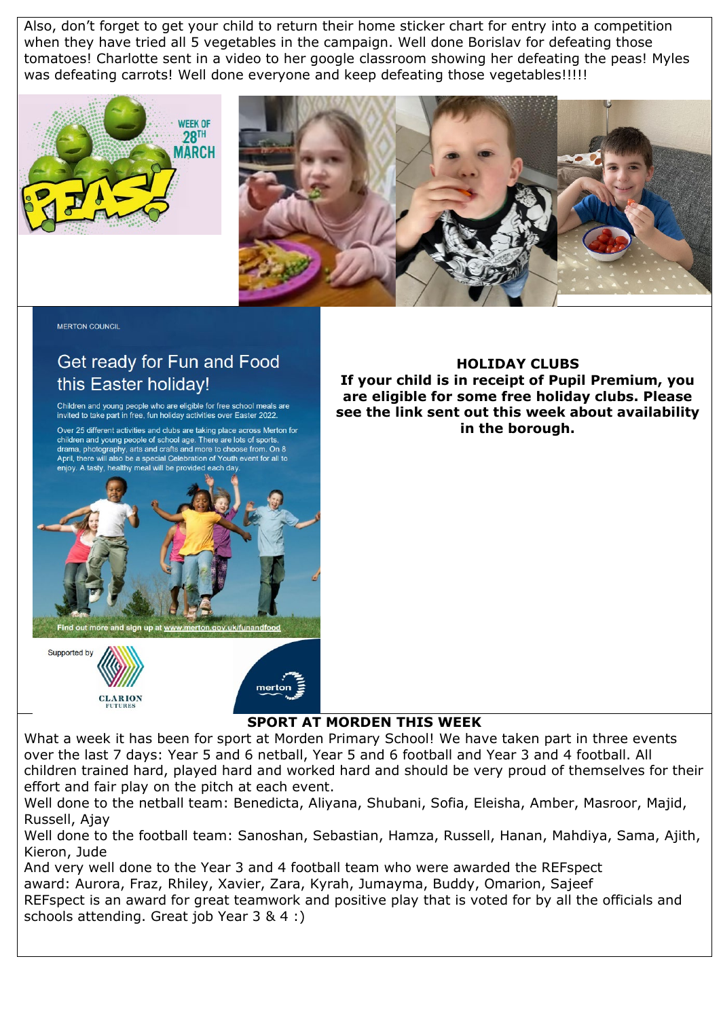Also, don't forget to get your child to return their home sticker chart for entry into a competition when they have tried all 5 vegetables in the campaign. Well done Borislav for defeating those tomatoes! Charlotte sent in a video to her google classroom showing her defeating the peas! Myles was defeating carrots! Well done everyone and keep defeating those vegetables!!!!!





**MERTON COUNCIL** 

# Get ready for Fun and Food this Easter holiday!

Children and young people who are eligible for free school meals are invited to take part in free, fun holiday activities over Easter 2022.

Over 25 different activities and clubs are taking place across Merton for Children and young people of school age. There are lots of sports,<br>drama, photography, arts and crafts and more to choose from. On 8<br>April, there will also be a special Celebration of Youth event for all to enjoy. A tasty, healthy meal will be provided each day



**CLARION** 

**HOLIDAY CLUBS If your child is in receipt of Pupil Premium, you are eligible for some free holiday clubs. Please see the link sent out this week about availability in the borough.** 

### **SPORT AT MORDEN THIS WEEK**

What a week it has been for sport at Morden Primary School! We have taken part in three events over the last 7 days: Year 5 and 6 netball, Year 5 and 6 football and Year 3 and 4 football. All children trained hard, played hard and worked hard and should be very proud of themselves for their effort and fair play on the pitch at each event.

Well done to the netball team: Benedicta, Aliyana, Shubani, Sofia, Eleisha, Amber, Masroor, Majid, Russell, Ajay

Well done to the football team: Sanoshan, Sebastian, Hamza, Russell, Hanan, Mahdiya, Sama, Ajith, Kieron, Jude

And very well done to the Year 3 and 4 football team who were awarded the REFspect award: Aurora, Fraz, Rhiley, Xavier, Zara, Kyrah, Jumayma, Buddy, Omarion, Sajeef REFspect is an award for great teamwork and positive play that is voted for by all the officials and schools attending. Great job Year 3 & 4 :)

mertor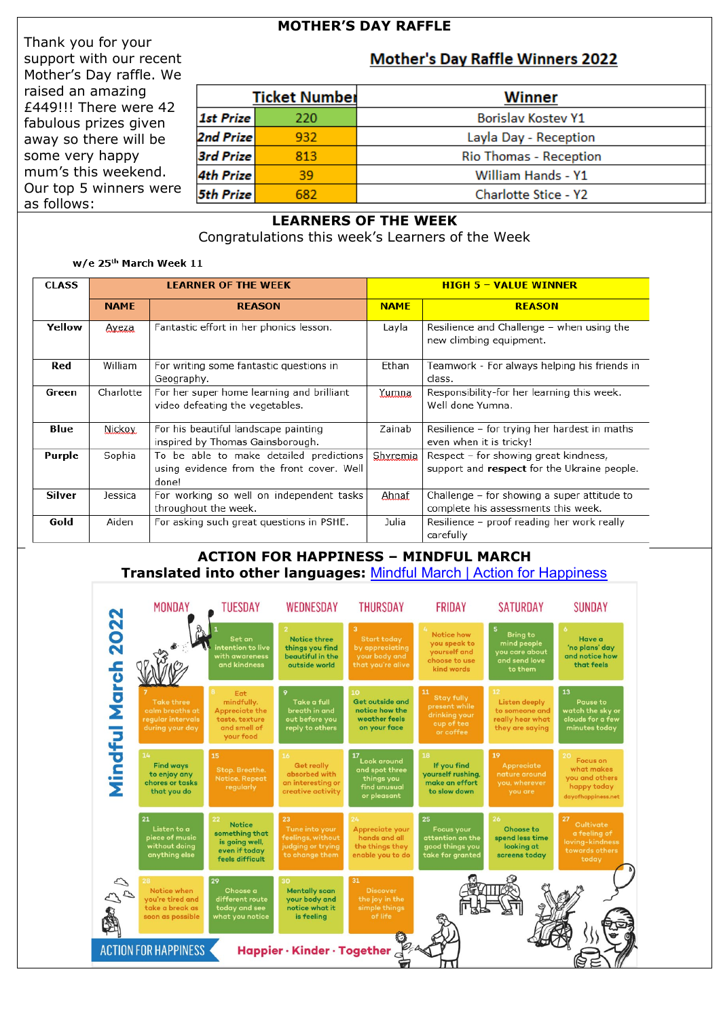#### **MOTHER'S DAY RAFFLE**

**Mother's Day Raffle Winners 2022** 

Thank you for your support with our recent Mother's Day raffle. We raised an amazing £449!!! There were 42 fabulous prizes given away so there will be some very happy mum's this weekend. Our top 5 winners were as follows:

| <b>Ticket Number</b> |     | <b>Winner</b>             |
|----------------------|-----|---------------------------|
| 1st Prize            | 220 | <b>Borislav Kostev Y1</b> |
| 2nd Prize            | 932 | Layla Day - Reception     |
| 3rd Prize            | 813 | Rio Thomas - Reception    |
| 4th Prize            | 39  | William Hands - Y1        |
| <b>5th Prize</b>     | 682 | Charlotte Stice - Y2      |

#### **LEARNERS OF THE WEEK**

Congratulations this week's Learners of the Week

#### w/e 25<sup>th</sup> March Week 11

| <b>CLASS</b> | <b>LEARNER OF THE WEEK</b> |                                                                                               |             | <b>HIGH 5 - VALUE WINNER</b>                                                         |  |  |  |
|--------------|----------------------------|-----------------------------------------------------------------------------------------------|-------------|--------------------------------------------------------------------------------------|--|--|--|
|              | <b>NAME</b>                | <b>REASON</b>                                                                                 | <b>NAME</b> | <b>REASON</b>                                                                        |  |  |  |
| Yellow       | Aveza                      | Fantastic effort in her phonics lesson.                                                       | Layla       | Resilience and Challenge - when using the<br>new climbing equipment.                 |  |  |  |
| Red          | William                    | For writing some fantastic questions in<br>Geography.                                         | Ethan       | Teamwork - For always helping his friends in<br>class.                               |  |  |  |
| Green        | Charlotte                  | For her super home learning and brilliant<br>video defeating the vegetables.                  | Yumna       | Responsibility-for her learning this week.<br>Well done Yumna.                       |  |  |  |
| Blue         | Nickov.                    | For his beautiful landscape painting<br>inspired by Thomas Gainsborough.                      | Zainab      | Resilience - for trying her hardest in maths<br>even when it is tricky!              |  |  |  |
| Purple       | Sophia                     | To be able to make detailed predictions<br>using evidence from the front cover. Well<br>done! | Shyremia    | Respect - for showing great kindness,<br>support and respect for the Ukraine people. |  |  |  |
| Silver       | Jessica                    | For working so well on independent tasks<br>throughout the week.                              | Ahnaf       | Challenge - for showing a super attitude to<br>complete his assessments this week.   |  |  |  |
| Gold         | Aiden                      | For asking such great questions in PSHE.                                                      | Julia       | Resilience - proof reading her work really<br>carefully                              |  |  |  |

#### **ACTION FOR HAPPINESS – MINDFUL MARCH Translated into other languages:** [Mindful March | Action for Happiness](https://actionforhappiness.org/calendar#download-block-anchor)

|                                                                                                                                                                                                                                                                                                                     | <b>MONDAY</b>                                                                | TUESDAY                                                                                           | WEDNESDAY                                                                          | <b>THURSDAY</b>                                                               | <b>FRIDAY</b>                                                                        | <b>SATURDAY</b>                                                              | <b>SUNDAY</b>                                                                              |  |
|---------------------------------------------------------------------------------------------------------------------------------------------------------------------------------------------------------------------------------------------------------------------------------------------------------------------|------------------------------------------------------------------------------|---------------------------------------------------------------------------------------------------|------------------------------------------------------------------------------------|-------------------------------------------------------------------------------|--------------------------------------------------------------------------------------|------------------------------------------------------------------------------|--------------------------------------------------------------------------------------------|--|
|                                                                                                                                                                                                                                                                                                                     |                                                                              | Set an<br>intention to live<br>with awareness<br>and kindness                                     | <b>Notice three</b><br>things you find<br>beautiful in the<br>outside world        | <b>Start today</b><br>by appreciating<br>your body and<br>that you're alive   | Notice how<br>you speak to<br>yourself and<br>choose to use<br>kind words            | <b>Bring to</b><br>mind people<br>you care about<br>and send love<br>to them | 6<br>Have a<br>'no plans' day<br>and notice how<br>that feels                              |  |
| Mindful March 2022                                                                                                                                                                                                                                                                                                  | <b>Take three</b><br>calm breaths at<br>regular intervals<br>during your day | Eat<br>mindfully.<br>Appreciate the<br>taste, texture<br>and smell of<br>your food                | Take a full<br>breath in and<br>out before you<br>reply to others                  | <b>Get outside and</b><br>notice how the<br>weather feels<br>on your face     | 11<br><b>Stay fully</b><br>present while<br>drinking your<br>cup of tea<br>or coffee | 12<br>Listen deeply<br>to someone and<br>really hear what<br>they are saying | 13<br>Pause to<br>watch the sky or<br>clouds for a few<br>minutes today                    |  |
|                                                                                                                                                                                                                                                                                                                     | 14<br><b>Find ways</b><br>to enjoy any<br>chores or tasks<br>that you do     | 15<br>Stop. Breathe.<br><b>Notice. Repeat</b><br>regularly                                        | 16<br><b>Get really</b><br>absorbed with<br>an interesting or<br>creative activity | Look around<br>and spot three<br>things you<br>find unusual<br>or pleasant    | 18<br>If you find<br>yourself rushing,<br>make an effort<br>to slow down             | 19<br>Appreciate<br>nature around<br>you, wherever<br>you are                | 20<br><b>Focus on</b><br>what makes<br>you and others<br>happy today<br>dayofhappiness.net |  |
|                                                                                                                                                                                                                                                                                                                     | 21<br>Listen to a<br>piece of music<br>without doing<br>anything else        | $22^{2}$<br><b>Notice</b><br>something that<br>is going well,<br>even if today<br>feels difficult | 23<br>Tune into your<br>feelings, without<br>judging or trying<br>to change them   | 24<br>Appreciate your<br>hands and all<br>the things they<br>enable you to do | 25<br><b>Focus your</b><br>attention on the<br>good things you<br>take for granted   | 26<br>Choose to<br>spend less time<br>looking at<br>screens today            | 27<br>Cultivate<br>a feeling of<br>loving-kindness<br>towards others<br>today              |  |
| 31<br>29<br>28<br>30<br>2020<br>Notice when<br><b>Discover</b><br>Choose a<br><b>Mentally scan</b><br>you're tired and<br>your body and<br>the joy in the<br>different route<br>notice what it<br>take a break as<br>today and see<br>simple things<br>of life<br>soon as possible<br>what you notice<br>is feeling |                                                                              |                                                                                                   |                                                                                    |                                                                               |                                                                                      |                                                                              |                                                                                            |  |
| <b>ACTION FOR HAPPINESS</b><br>Happier · Kinder · Together $_{C}$                                                                                                                                                                                                                                                   |                                                                              |                                                                                                   |                                                                                    |                                                                               |                                                                                      |                                                                              |                                                                                            |  |